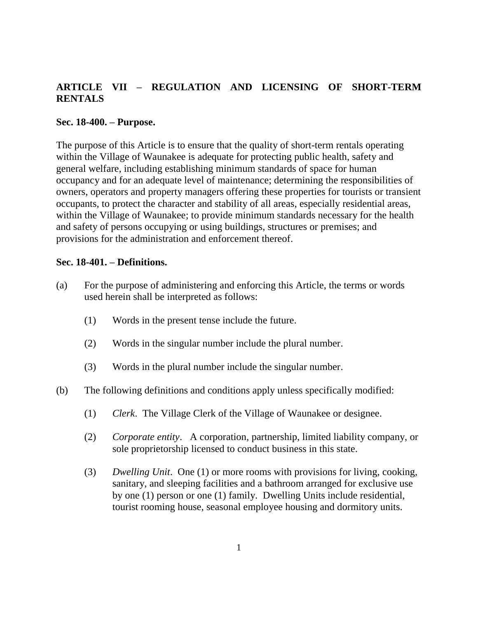# **ARTICLE VII – REGULATION AND LICENSING OF SHORT-TERM RENTALS**

### **Sec. 18-400. – Purpose.**

The purpose of this Article is to ensure that the quality of short-term rentals operating within the Village of Waunakee is adequate for protecting public health, safety and general welfare, including establishing minimum standards of space for human occupancy and for an adequate level of maintenance; determining the responsibilities of owners, operators and property managers offering these properties for tourists or transient occupants, to protect the character and stability of all areas, especially residential areas, within the Village of Waunakee; to provide minimum standards necessary for the health and safety of persons occupying or using buildings, structures or premises; and provisions for the administration and enforcement thereof.

### **Sec. 18-401. – Definitions.**

- (a) For the purpose of administering and enforcing this Article, the terms or words used herein shall be interpreted as follows:
	- (1) Words in the present tense include the future.
	- (2) Words in the singular number include the plural number.
	- (3) Words in the plural number include the singular number.
- (b) The following definitions and conditions apply unless specifically modified:
	- (1) *Clerk*. The Village Clerk of the Village of Waunakee or designee.
	- (2) *Corporate entity*. A corporation, partnership, limited liability company, or sole proprietorship licensed to conduct business in this state.
	- (3) *Dwelling Unit*. One (1) or more rooms with provisions for living, cooking, sanitary, and sleeping facilities and a bathroom arranged for exclusive use by one (1) person or one (1) family. Dwelling Units include residential, tourist rooming house, seasonal employee housing and dormitory units.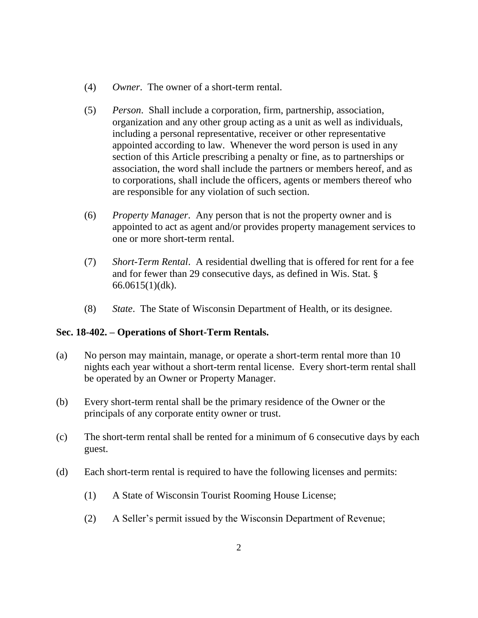- (4) *Owner*. The owner of a short-term rental.
- (5) *Person*. Shall include a corporation, firm, partnership, association, organization and any other group acting as a unit as well as individuals, including a personal representative, receiver or other representative appointed according to law. Whenever the word person is used in any section of this Article prescribing a penalty or fine, as to partnerships or association, the word shall include the partners or members hereof, and as to corporations, shall include the officers, agents or members thereof who are responsible for any violation of such section.
- (6) *Property Manager*. Any person that is not the property owner and is appointed to act as agent and/or provides property management services to one or more short-term rental.
- (7) *Short-Term Rental*. A residential dwelling that is offered for rent for a fee and for fewer than 29 consecutive days, as defined in Wis. Stat. § 66.0615(1)(dk).
- (8) *State*. The State of Wisconsin Department of Health, or its designee.

# **Sec. 18-402. – Operations of Short-Term Rentals.**

- (a) No person may maintain, manage, or operate a short-term rental more than 10 nights each year without a short-term rental license. Every short-term rental shall be operated by an Owner or Property Manager.
- (b) Every short-term rental shall be the primary residence of the Owner or the principals of any corporate entity owner or trust.
- (c) The short-term rental shall be rented for a minimum of 6 consecutive days by each guest.
- (d) Each short-term rental is required to have the following licenses and permits:
	- (1) A State of Wisconsin Tourist Rooming House License;
	- (2) A Seller's permit issued by the Wisconsin Department of Revenue;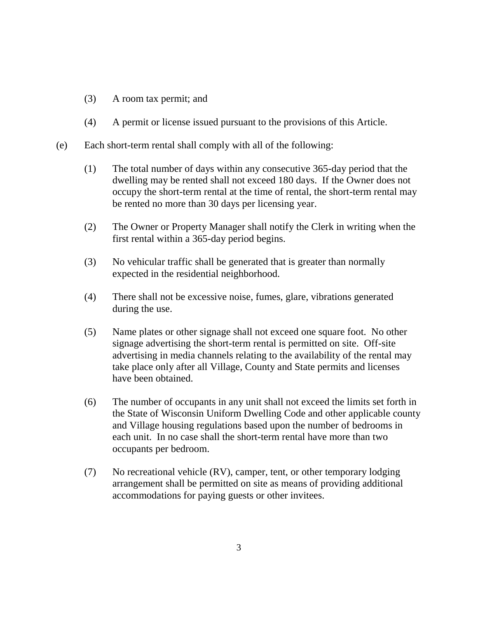- (3) A room tax permit; and
- (4) A permit or license issued pursuant to the provisions of this Article.
- (e) Each short-term rental shall comply with all of the following:
	- (1) The total number of days within any consecutive 365-day period that the dwelling may be rented shall not exceed 180 days. If the Owner does not occupy the short-term rental at the time of rental, the short-term rental may be rented no more than 30 days per licensing year.
	- (2) The Owner or Property Manager shall notify the Clerk in writing when the first rental within a 365-day period begins.
	- (3) No vehicular traffic shall be generated that is greater than normally expected in the residential neighborhood.
	- (4) There shall not be excessive noise, fumes, glare, vibrations generated during the use.
	- (5) Name plates or other signage shall not exceed one square foot. No other signage advertising the short-term rental is permitted on site. Off-site advertising in media channels relating to the availability of the rental may take place only after all Village, County and State permits and licenses have been obtained.
	- (6) The number of occupants in any unit shall not exceed the limits set forth in the State of Wisconsin Uniform Dwelling Code and other applicable county and Village housing regulations based upon the number of bedrooms in each unit. In no case shall the short-term rental have more than two occupants per bedroom.
	- (7) No recreational vehicle (RV), camper, tent, or other temporary lodging arrangement shall be permitted on site as means of providing additional accommodations for paying guests or other invitees.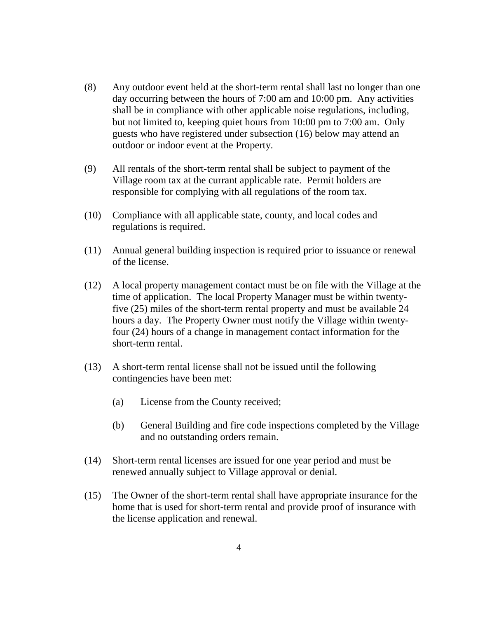- (8) Any outdoor event held at the short-term rental shall last no longer than one day occurring between the hours of 7:00 am and 10:00 pm. Any activities shall be in compliance with other applicable noise regulations, including, but not limited to, keeping quiet hours from 10:00 pm to 7:00 am. Only guests who have registered under subsection (16) below may attend an outdoor or indoor event at the Property.
- (9) All rentals of the short-term rental shall be subject to payment of the Village room tax at the currant applicable rate. Permit holders are responsible for complying with all regulations of the room tax.
- (10) Compliance with all applicable state, county, and local codes and regulations is required.
- (11) Annual general building inspection is required prior to issuance or renewal of the license.
- (12) A local property management contact must be on file with the Village at the time of application. The local Property Manager must be within twentyfive (25) miles of the short-term rental property and must be available 24 hours a day. The Property Owner must notify the Village within twentyfour (24) hours of a change in management contact information for the short-term rental.
- (13) A short-term rental license shall not be issued until the following contingencies have been met:
	- (a) License from the County received;
	- (b) General Building and fire code inspections completed by the Village and no outstanding orders remain.
- (14) Short-term rental licenses are issued for one year period and must be renewed annually subject to Village approval or denial.
- (15) The Owner of the short-term rental shall have appropriate insurance for the home that is used for short-term rental and provide proof of insurance with the license application and renewal.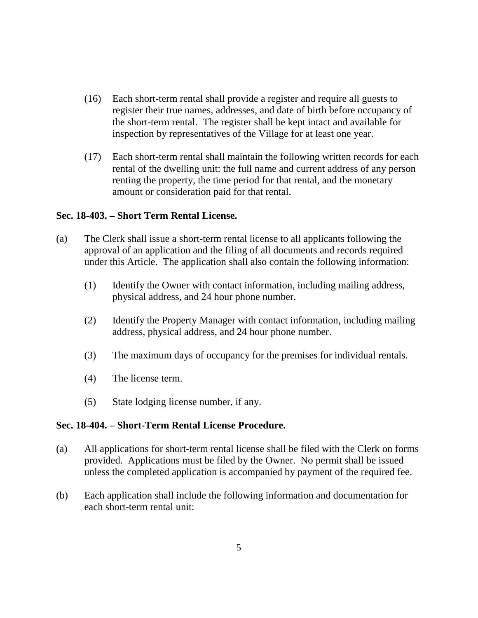- (16) Each short-term rental shall provide a register and require all guests to register their true names, addresses, and date of birth before occupancy of the short-term rental. The register shall be kept intact and available for inspection by representatives of the Village for at least one year.
- (17) Each short-term rental shall maintain the following written records for each rental of the dwelling unit: the full name and current address of any person renting the property, the time period for that rental, and the monetary amount or consideration paid for that rental.

### **Sec. 18-403. – Short Term Rental License.**

- (a) The Clerk shall issue a short-term rental license to all applicants following the approval of an application and the filing of all documents and records required under this Article. The application shall also contain the following information:
	- (1) Identify the Owner with contact information, including mailing address, physical address, and 24 hour phone number.
	- (2) Identify the Property Manager with contact information, including mailing address, physical address, and 24 hour phone number.
	- (3) The maximum days of occupancy for the premises for individual rentals.
	- (4) The license term.
	- (5) State lodging license number, if any.

### **Sec. 18-404. – Short-Term Rental License Procedure.**

- (a) All applications for short-term rental license shall be filed with the Clerk on forms provided. Applications must be filed by the Owner. No permit shall be issued unless the completed application is accompanied by payment of the required fee.
- (b) Each application shall include the following information and documentation for each short-term rental unit: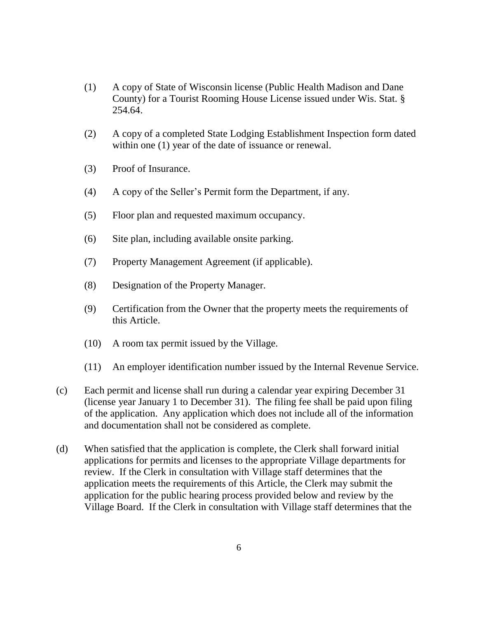- (1) A copy of State of Wisconsin license (Public Health Madison and Dane County) for a Tourist Rooming House License issued under Wis. Stat. § 254.64.
- (2) A copy of a completed State Lodging Establishment Inspection form dated within one  $(1)$  year of the date of issuance or renewal.
- (3) Proof of Insurance.
- (4) A copy of the Seller's Permit form the Department, if any.
- (5) Floor plan and requested maximum occupancy.
- (6) Site plan, including available onsite parking.
- (7) Property Management Agreement (if applicable).
- (8) Designation of the Property Manager.
- (9) Certification from the Owner that the property meets the requirements of this Article.
- (10) A room tax permit issued by the Village.
- (11) An employer identification number issued by the Internal Revenue Service.
- (c) Each permit and license shall run during a calendar year expiring December 31 (license year January 1 to December 31). The filing fee shall be paid upon filing of the application. Any application which does not include all of the information and documentation shall not be considered as complete.
- (d) When satisfied that the application is complete, the Clerk shall forward initial applications for permits and licenses to the appropriate Village departments for review. If the Clerk in consultation with Village staff determines that the application meets the requirements of this Article, the Clerk may submit the application for the public hearing process provided below and review by the Village Board. If the Clerk in consultation with Village staff determines that the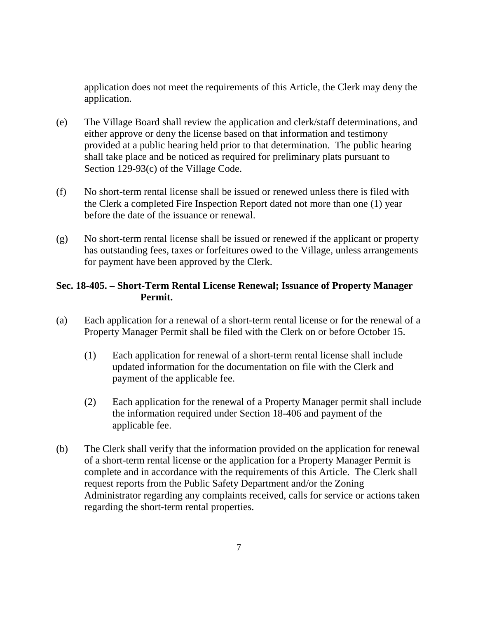application does not meet the requirements of this Article, the Clerk may deny the application.

- (e) The Village Board shall review the application and clerk/staff determinations, and either approve or deny the license based on that information and testimony provided at a public hearing held prior to that determination. The public hearing shall take place and be noticed as required for preliminary plats pursuant to Section 129-93(c) of the Village Code.
- (f) No short-term rental license shall be issued or renewed unless there is filed with the Clerk a completed Fire Inspection Report dated not more than one (1) year before the date of the issuance or renewal.
- (g) No short-term rental license shall be issued or renewed if the applicant or property has outstanding fees, taxes or forfeitures owed to the Village, unless arrangements for payment have been approved by the Clerk.

# **Sec. 18-405. – Short-Term Rental License Renewal; Issuance of Property Manager Permit.**

- (a) Each application for a renewal of a short-term rental license or for the renewal of a Property Manager Permit shall be filed with the Clerk on or before October 15.
	- (1) Each application for renewal of a short-term rental license shall include updated information for the documentation on file with the Clerk and payment of the applicable fee.
	- (2) Each application for the renewal of a Property Manager permit shall include the information required under Section 18-406 and payment of the applicable fee.
- (b) The Clerk shall verify that the information provided on the application for renewal of a short-term rental license or the application for a Property Manager Permit is complete and in accordance with the requirements of this Article. The Clerk shall request reports from the Public Safety Department and/or the Zoning Administrator regarding any complaints received, calls for service or actions taken regarding the short-term rental properties.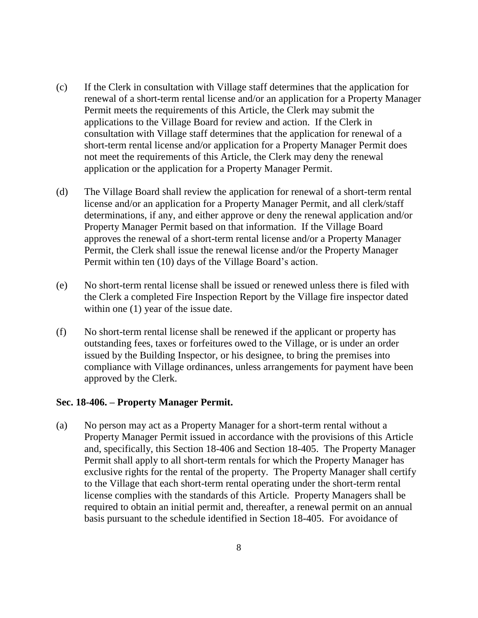- (c) If the Clerk in consultation with Village staff determines that the application for renewal of a short-term rental license and/or an application for a Property Manager Permit meets the requirements of this Article, the Clerk may submit the applications to the Village Board for review and action. If the Clerk in consultation with Village staff determines that the application for renewal of a short-term rental license and/or application for a Property Manager Permit does not meet the requirements of this Article, the Clerk may deny the renewal application or the application for a Property Manager Permit.
- (d) The Village Board shall review the application for renewal of a short-term rental license and/or an application for a Property Manager Permit, and all clerk/staff determinations, if any, and either approve or deny the renewal application and/or Property Manager Permit based on that information. If the Village Board approves the renewal of a short-term rental license and/or a Property Manager Permit, the Clerk shall issue the renewal license and/or the Property Manager Permit within ten (10) days of the Village Board's action.
- (e) No short-term rental license shall be issued or renewed unless there is filed with the Clerk a completed Fire Inspection Report by the Village fire inspector dated within one  $(1)$  year of the issue date.
- (f) No short-term rental license shall be renewed if the applicant or property has outstanding fees, taxes or forfeitures owed to the Village, or is under an order issued by the Building Inspector, or his designee, to bring the premises into compliance with Village ordinances, unless arrangements for payment have been approved by the Clerk.

### **Sec. 18-406. – Property Manager Permit.**

(a) No person may act as a Property Manager for a short-term rental without a Property Manager Permit issued in accordance with the provisions of this Article and, specifically, this Section 18-406 and Section 18-405. The Property Manager Permit shall apply to all short-term rentals for which the Property Manager has exclusive rights for the rental of the property. The Property Manager shall certify to the Village that each short-term rental operating under the short-term rental license complies with the standards of this Article. Property Managers shall be required to obtain an initial permit and, thereafter, a renewal permit on an annual basis pursuant to the schedule identified in Section 18-405. For avoidance of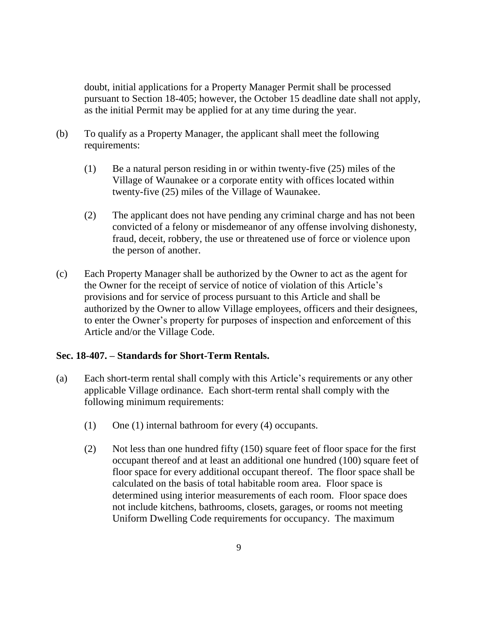doubt, initial applications for a Property Manager Permit shall be processed pursuant to Section 18-405; however, the October 15 deadline date shall not apply, as the initial Permit may be applied for at any time during the year.

- (b) To qualify as a Property Manager, the applicant shall meet the following requirements:
	- (1) Be a natural person residing in or within twenty-five (25) miles of the Village of Waunakee or a corporate entity with offices located within twenty-five (25) miles of the Village of Waunakee.
	- (2) The applicant does not have pending any criminal charge and has not been convicted of a felony or misdemeanor of any offense involving dishonesty, fraud, deceit, robbery, the use or threatened use of force or violence upon the person of another.
- (c) Each Property Manager shall be authorized by the Owner to act as the agent for the Owner for the receipt of service of notice of violation of this Article's provisions and for service of process pursuant to this Article and shall be authorized by the Owner to allow Village employees, officers and their designees, to enter the Owner's property for purposes of inspection and enforcement of this Article and/or the Village Code.

### **Sec. 18-407. – Standards for Short-Term Rentals.**

- (a) Each short-term rental shall comply with this Article's requirements or any other applicable Village ordinance. Each short-term rental shall comply with the following minimum requirements:
	- (1) One (1) internal bathroom for every (4) occupants.
	- (2) Not less than one hundred fifty (150) square feet of floor space for the first occupant thereof and at least an additional one hundred (100) square feet of floor space for every additional occupant thereof. The floor space shall be calculated on the basis of total habitable room area. Floor space is determined using interior measurements of each room. Floor space does not include kitchens, bathrooms, closets, garages, or rooms not meeting Uniform Dwelling Code requirements for occupancy. The maximum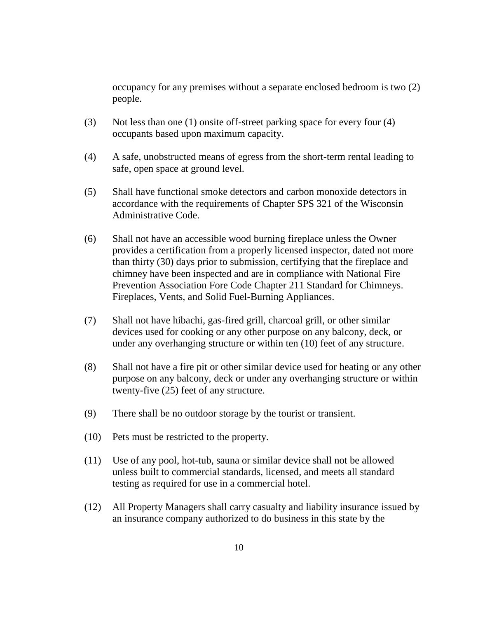occupancy for any premises without a separate enclosed bedroom is two (2) people.

- (3) Not less than one (1) onsite off-street parking space for every four (4) occupants based upon maximum capacity.
- (4) A safe, unobstructed means of egress from the short-term rental leading to safe, open space at ground level.
- (5) Shall have functional smoke detectors and carbon monoxide detectors in accordance with the requirements of Chapter SPS 321 of the Wisconsin Administrative Code.
- (6) Shall not have an accessible wood burning fireplace unless the Owner provides a certification from a properly licensed inspector, dated not more than thirty (30) days prior to submission, certifying that the fireplace and chimney have been inspected and are in compliance with National Fire Prevention Association Fore Code Chapter 211 Standard for Chimneys. Fireplaces, Vents, and Solid Fuel-Burning Appliances.
- (7) Shall not have hibachi, gas-fired grill, charcoal grill, or other similar devices used for cooking or any other purpose on any balcony, deck, or under any overhanging structure or within ten (10) feet of any structure.
- (8) Shall not have a fire pit or other similar device used for heating or any other purpose on any balcony, deck or under any overhanging structure or within twenty-five (25) feet of any structure.
- (9) There shall be no outdoor storage by the tourist or transient.
- (10) Pets must be restricted to the property.
- (11) Use of any pool, hot-tub, sauna or similar device shall not be allowed unless built to commercial standards, licensed, and meets all standard testing as required for use in a commercial hotel.
- (12) All Property Managers shall carry casualty and liability insurance issued by an insurance company authorized to do business in this state by the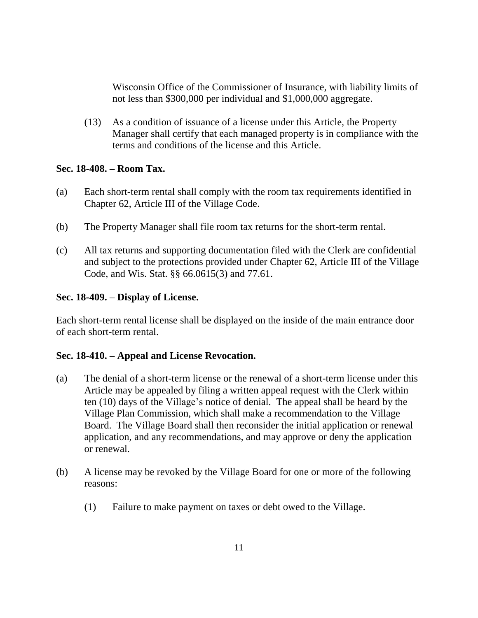Wisconsin Office of the Commissioner of Insurance, with liability limits of not less than \$300,000 per individual and \$1,000,000 aggregate.

(13) As a condition of issuance of a license under this Article, the Property Manager shall certify that each managed property is in compliance with the terms and conditions of the license and this Article.

### **Sec. 18-408. – Room Tax.**

- (a) Each short-term rental shall comply with the room tax requirements identified in Chapter 62, Article III of the Village Code.
- (b) The Property Manager shall file room tax returns for the short-term rental.
- (c) All tax returns and supporting documentation filed with the Clerk are confidential and subject to the protections provided under Chapter 62, Article III of the Village Code, and Wis. Stat. §§ 66.0615(3) and 77.61.

### **Sec. 18-409. – Display of License.**

Each short-term rental license shall be displayed on the inside of the main entrance door of each short-term rental.

# **Sec. 18-410. – Appeal and License Revocation.**

- (a) The denial of a short-term license or the renewal of a short-term license under this Article may be appealed by filing a written appeal request with the Clerk within ten (10) days of the Village's notice of denial. The appeal shall be heard by the Village Plan Commission, which shall make a recommendation to the Village Board. The Village Board shall then reconsider the initial application or renewal application, and any recommendations, and may approve or deny the application or renewal.
- (b) A license may be revoked by the Village Board for one or more of the following reasons:
	- (1) Failure to make payment on taxes or debt owed to the Village.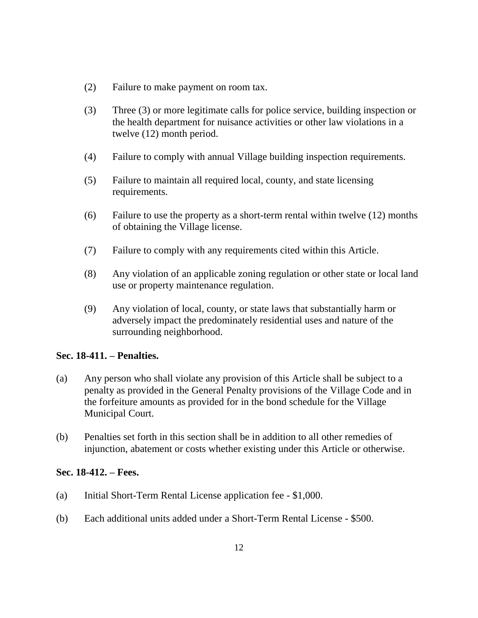- (2) Failure to make payment on room tax.
- (3) Three (3) or more legitimate calls for police service, building inspection or the health department for nuisance activities or other law violations in a twelve (12) month period.
- (4) Failure to comply with annual Village building inspection requirements.
- (5) Failure to maintain all required local, county, and state licensing requirements.
- (6) Failure to use the property as a short-term rental within twelve (12) months of obtaining the Village license.
- (7) Failure to comply with any requirements cited within this Article.
- (8) Any violation of an applicable zoning regulation or other state or local land use or property maintenance regulation.
- (9) Any violation of local, county, or state laws that substantially harm or adversely impact the predominately residential uses and nature of the surrounding neighborhood.

# **Sec. 18-411. – Penalties.**

- (a) Any person who shall violate any provision of this Article shall be subject to a penalty as provided in the General Penalty provisions of the Village Code and in the forfeiture amounts as provided for in the bond schedule for the Village Municipal Court.
- (b) Penalties set forth in this section shall be in addition to all other remedies of injunction, abatement or costs whether existing under this Article or otherwise.

### **Sec. 18-412. – Fees.**

- (a) Initial Short-Term Rental License application fee \$1,000.
- (b) Each additional units added under a Short-Term Rental License \$500.